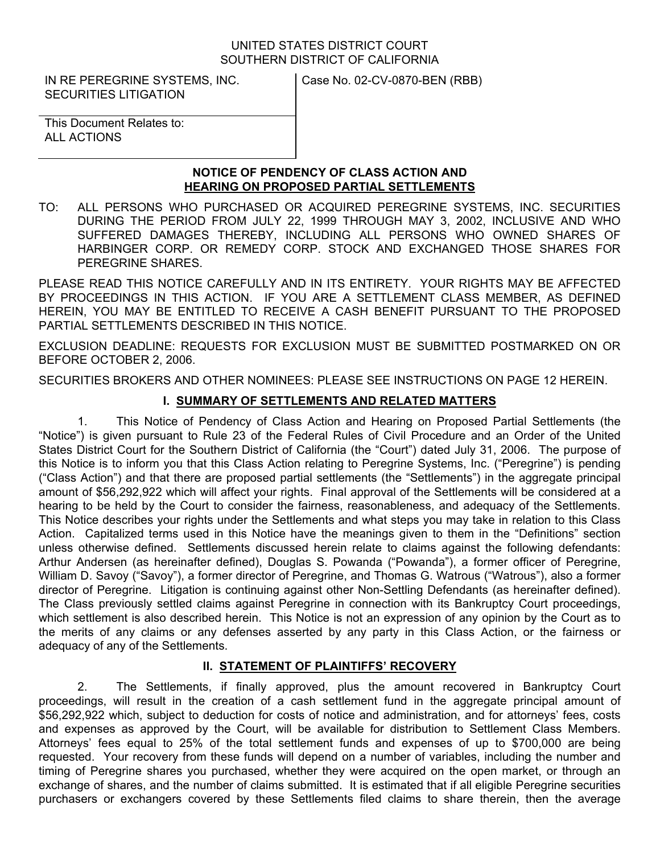#### UNITED STATES DISTRICT COURT SOUTHERN DISTRICT OF CALIFORNIA

IN RE PEREGRINE SYSTEMS, INC. SECURITIES LITIGATION

Case No. 02-CV-0870-BEN (RBB)

This Document Relates to: ALL ACTIONS

### **NOTICE OF PENDENCY OF CLASS ACTION AND HEARING ON PROPOSED PARTIAL SETTLEMENTS**

TO: ALL PERSONS WHO PURCHASED OR ACQUIRED PEREGRINE SYSTEMS, INC. SECURITIES DURING THE PERIOD FROM JULY 22, 1999 THROUGH MAY 3, 2002, INCLUSIVE AND WHO SUFFERED DAMAGES THEREBY, INCLUDING ALL PERSONS WHO OWNED SHARES OF HARBINGER CORP. OR REMEDY CORP. STOCK AND EXCHANGED THOSE SHARES FOR PEREGRINE SHARES.

PLEASE READ THIS NOTICE CAREFULLY AND IN ITS ENTIRETY. YOUR RIGHTS MAY BE AFFECTED BY PROCEEDINGS IN THIS ACTION. IF YOU ARE A SETTLEMENT CLASS MEMBER, AS DEFINED HEREIN, YOU MAY BE ENTITLED TO RECEIVE A CASH BENEFIT PURSUANT TO THE PROPOSED PARTIAL SETTLEMENTS DESCRIBED IN THIS NOTICE.

EXCLUSION DEADLINE: REQUESTS FOR EXCLUSION MUST BE SUBMITTED POSTMARKED ON OR BEFORE OCTOBER 2, 2006.

SECURITIES BROKERS AND OTHER NOMINEES: PLEASE SEE INSTRUCTIONS ON PAGE 12 HEREIN.

# **I. SUMMARY OF SETTLEMENTS AND RELATED MATTERS**

1. This Notice of Pendency of Class Action and Hearing on Proposed Partial Settlements (the "Notice") is given pursuant to Rule 23 of the Federal Rules of Civil Procedure and an Order of the United States District Court for the Southern District of California (the "Court") dated July 31, 2006. The purpose of this Notice is to inform you that this Class Action relating to Peregrine Systems, Inc. ("Peregrine") is pending ("Class Action") and that there are proposed partial settlements (the "Settlements") in the aggregate principal amount of \$56,292,922 which will affect your rights. Final approval of the Settlements will be considered at a hearing to be held by the Court to consider the fairness, reasonableness, and adequacy of the Settlements. This Notice describes your rights under the Settlements and what steps you may take in relation to this Class Action. Capitalized terms used in this Notice have the meanings given to them in the "Definitions" section unless otherwise defined. Settlements discussed herein relate to claims against the following defendants: Arthur Andersen (as hereinafter defined), Douglas S. Powanda ("Powanda"), a former officer of Peregrine, William D. Savoy ("Savoy"), a former director of Peregrine, and Thomas G. Watrous ("Watrous"), also a former director of Peregrine. Litigation is continuing against other Non-Settling Defendants (as hereinafter defined). The Class previously settled claims against Peregrine in connection with its Bankruptcy Court proceedings, which settlement is also described herein. This Notice is not an expression of any opinion by the Court as to the merits of any claims or any defenses asserted by any party in this Class Action, or the fairness or adequacy of any of the Settlements.

# **II. STATEMENT OF PLAINTIFFS' RECOVERY**

2. The Settlements, if finally approved, plus the amount recovered in Bankruptcy Court proceedings, will result in the creation of a cash settlement fund in the aggregate principal amount of \$56,292,922 which, subject to deduction for costs of notice and administration, and for attorneys' fees, costs and expenses as approved by the Court, will be available for distribution to Settlement Class Members. Attorneys' fees equal to 25% of the total settlement funds and expenses of up to \$700,000 are being requested. Your recovery from these funds will depend on a number of variables, including the number and timing of Peregrine shares you purchased, whether they were acquired on the open market, or through an exchange of shares, and the number of claims submitted. It is estimated that if all eligible Peregrine securities purchasers or exchangers covered by these Settlements filed claims to share therein, then the average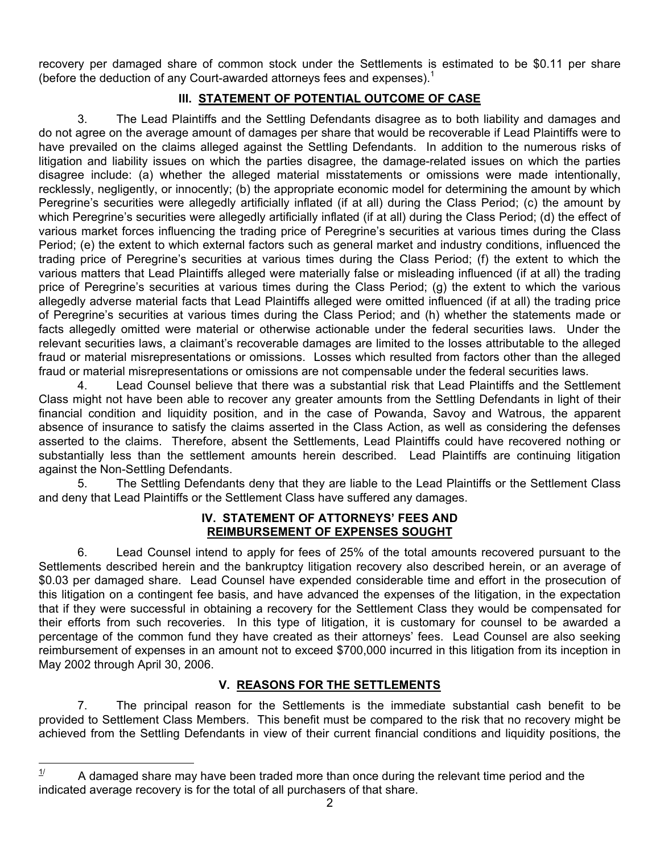recovery per damaged share of common stock under the Settlements is estimated to be \$0.11 per share (before the deduction of any Court-awarded attorneys fees and expenses). $<sup>1</sup>$  $<sup>1</sup>$  $<sup>1</sup>$ </sup>

# **III. STATEMENT OF POTENTIAL OUTCOME OF CASE**

3. The Lead Plaintiffs and the Settling Defendants disagree as to both liability and damages and do not agree on the average amount of damages per share that would be recoverable if Lead Plaintiffs were to have prevailed on the claims alleged against the Settling Defendants. In addition to the numerous risks of litigation and liability issues on which the parties disagree, the damage-related issues on which the parties disagree include: (a) whether the alleged material misstatements or omissions were made intentionally, recklessly, negligently, or innocently; (b) the appropriate economic model for determining the amount by which Peregrine's securities were allegedly artificially inflated (if at all) during the Class Period; (c) the amount by which Peregrine's securities were allegedly artificially inflated (if at all) during the Class Period; (d) the effect of various market forces influencing the trading price of Peregrine's securities at various times during the Class Period; (e) the extent to which external factors such as general market and industry conditions, influenced the trading price of Peregrine's securities at various times during the Class Period; (f) the extent to which the various matters that Lead Plaintiffs alleged were materially false or misleading influenced (if at all) the trading price of Peregrine's securities at various times during the Class Period; (g) the extent to which the various allegedly adverse material facts that Lead Plaintiffs alleged were omitted influenced (if at all) the trading price of Peregrine's securities at various times during the Class Period; and (h) whether the statements made or facts allegedly omitted were material or otherwise actionable under the federal securities laws. Under the relevant securities laws, a claimant's recoverable damages are limited to the losses attributable to the alleged fraud or material misrepresentations or omissions. Losses which resulted from factors other than the alleged fraud or material misrepresentations or omissions are not compensable under the federal securities laws.

4. Lead Counsel believe that there was a substantial risk that Lead Plaintiffs and the Settlement Class might not have been able to recover any greater amounts from the Settling Defendants in light of their financial condition and liquidity position, and in the case of Powanda, Savoy and Watrous, the apparent absence of insurance to satisfy the claims asserted in the Class Action, as well as considering the defenses asserted to the claims. Therefore, absent the Settlements, Lead Plaintiffs could have recovered nothing or substantially less than the settlement amounts herein described. Lead Plaintiffs are continuing litigation against the Non-Settling Defendants.

5. The Settling Defendants deny that they are liable to the Lead Plaintiffs or the Settlement Class and deny that Lead Plaintiffs or the Settlement Class have suffered any damages.

#### **IV. STATEMENT OF ATTORNEYS' FEES AND REIMBURSEMENT OF EXPENSES SOUGHT**

6. Lead Counsel intend to apply for fees of 25% of the total amounts recovered pursuant to the Settlements described herein and the bankruptcy litigation recovery also described herein, or an average of \$0.03 per damaged share. Lead Counsel have expended considerable time and effort in the prosecution of this litigation on a contingent fee basis, and have advanced the expenses of the litigation, in the expectation that if they were successful in obtaining a recovery for the Settlement Class they would be compensated for their efforts from such recoveries. In this type of litigation, it is customary for counsel to be awarded a percentage of the common fund they have created as their attorneys' fees. Lead Counsel are also seeking reimbursement of expenses in an amount not to exceed \$700,000 incurred in this litigation from its inception in May 2002 through April 30, 2006.

# **V. REASONS FOR THE SETTLEMENTS**

7. The principal reason for the Settlements is the immediate substantial cash benefit to be provided to Settlement Class Members. This benefit must be compared to the risk that no recovery might be achieved from the Settling Defendants in view of their current financial conditions and liquidity positions, the

 $\overline{a}$ 

<span id="page-1-0"></span> $1/$  A damaged share may have been traded more than once during the relevant time period and the indicated average recovery is for the total of all purchasers of that share.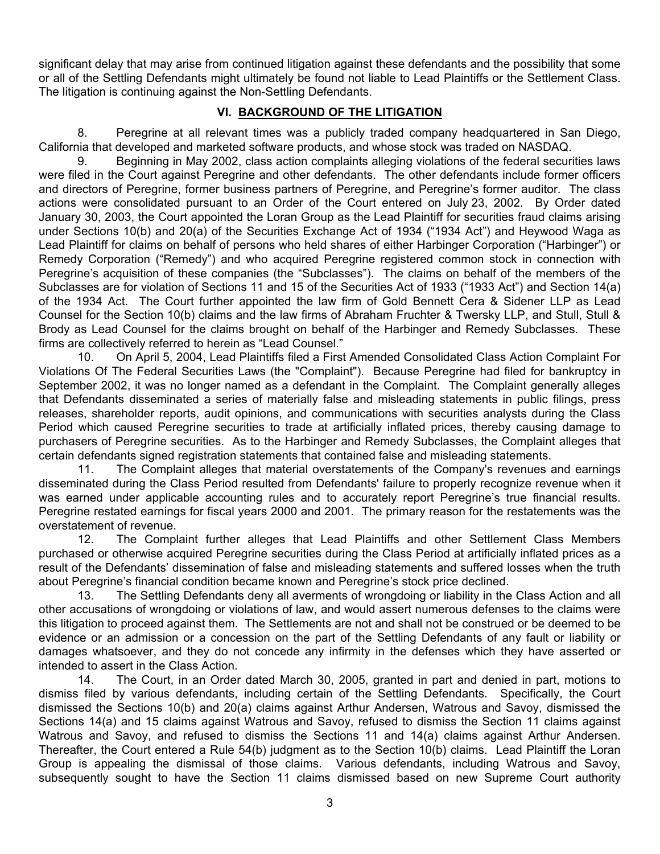significant delay that may arise from continued litigation against these defendants and the possibility that some or all of the Settling Defendants might ultimately be found not liable to Lead Plaintiffs or the Settlement Class. The litigation is continuing against the Non-Settling Defendants.

# **VI. BACKGROUND OF THE LITIGATION**

8. Peregrine at all relevant times was a publicly traded company headquartered in San Diego, California that developed and marketed software products, and whose stock was traded on NASDAQ.

9. Beginning in May 2002, class action complaints alleging violations of the federal securities laws were filed in the Court against Peregrine and other defendants. The other defendants include former officers and directors of Peregrine, former business partners of Peregrine, and Peregrine's former auditor. The class actions were consolidated pursuant to an Order of the Court entered on July 23, 2002. By Order dated January 30, 2003, the Court appointed the Loran Group as the Lead Plaintiff for securities fraud claims arising under Sections 10(b) and 20(a) of the Securities Exchange Act of 1934 ("1934 Act") and Heywood Waga as Lead Plaintiff for claims on behalf of persons who held shares of either Harbinger Corporation ("Harbinger") or Remedy Corporation ("Remedy") and who acquired Peregrine registered common stock in connection with Peregrine's acquisition of these companies (the "Subclasses"). The claims on behalf of the members of the Subclasses are for violation of Sections 11 and 15 of the Securities Act of 1933 ("1933 Act") and Section 14(a) of the 1934 Act. The Court further appointed the law firm of Gold Bennett Cera & Sidener LLP as Lead Counsel for the Section 10(b) claims and the law firms of Abraham Fruchter & Twersky LLP, and Stull, Stull & Brody as Lead Counsel for the claims brought on behalf of the Harbinger and Remedy Subclasses. These firms are collectively referred to herein as "Lead Counsel."

10. On April 5, 2004, Lead Plaintiffs filed a First Amended Consolidated Class Action Complaint For Violations Of The Federal Securities Laws (the "Complaint"). Because Peregrine had filed for bankruptcy in September 2002, it was no longer named as a defendant in the Complaint. The Complaint generally alleges that Defendants disseminated a series of materially false and misleading statements in public filings, press releases, shareholder reports, audit opinions, and communications with securities analysts during the Class Period which caused Peregrine securities to trade at artificially inflated prices, thereby causing damage to purchasers of Peregrine securities. As to the Harbinger and Remedy Subclasses, the Complaint alleges that certain defendants signed registration statements that contained false and misleading statements.

11. The Complaint alleges that material overstatements of the Company's revenues and earnings disseminated during the Class Period resulted from Defendants' failure to properly recognize revenue when it was earned under applicable accounting rules and to accurately report Peregrine's true financial results. Peregrine restated earnings for fiscal years 2000 and 2001. The primary reason for the restatements was the overstatement of revenue.

12. The Complaint further alleges that Lead Plaintiffs and other Settlement Class Members purchased or otherwise acquired Peregrine securities during the Class Period at artificially inflated prices as a result of the Defendants' dissemination of false and misleading statements and suffered losses when the truth about Peregrine's financial condition became known and Peregrine's stock price declined.

13. The Settling Defendants deny all averments of wrongdoing or liability in the Class Action and all other accusations of wrongdoing or violations of law, and would assert numerous defenses to the claims were this litigation to proceed against them. The Settlements are not and shall not be construed or be deemed to be evidence or an admission or a concession on the part of the Settling Defendants of any fault or liability or damages whatsoever, and they do not concede any infirmity in the defenses which they have asserted or intended to assert in the Class Action.

14. The Court, in an Order dated March 30, 2005, granted in part and denied in part, motions to dismiss filed by various defendants, including certain of the Settling Defendants. Specifically, the Court dismissed the Sections 10(b) and 20(a) claims against Arthur Andersen, Watrous and Savoy, dismissed the Sections 14(a) and 15 claims against Watrous and Savoy, refused to dismiss the Section 11 claims against Watrous and Savoy, and refused to dismiss the Sections 11 and 14(a) claims against Arthur Andersen. Thereafter, the Court entered a Rule 54(b) judgment as to the Section 10(b) claims. Lead Plaintiff the Loran Group is appealing the dismissal of those claims. Various defendants, including Watrous and Savoy, subsequently sought to have the Section 11 claims dismissed based on new Supreme Court authority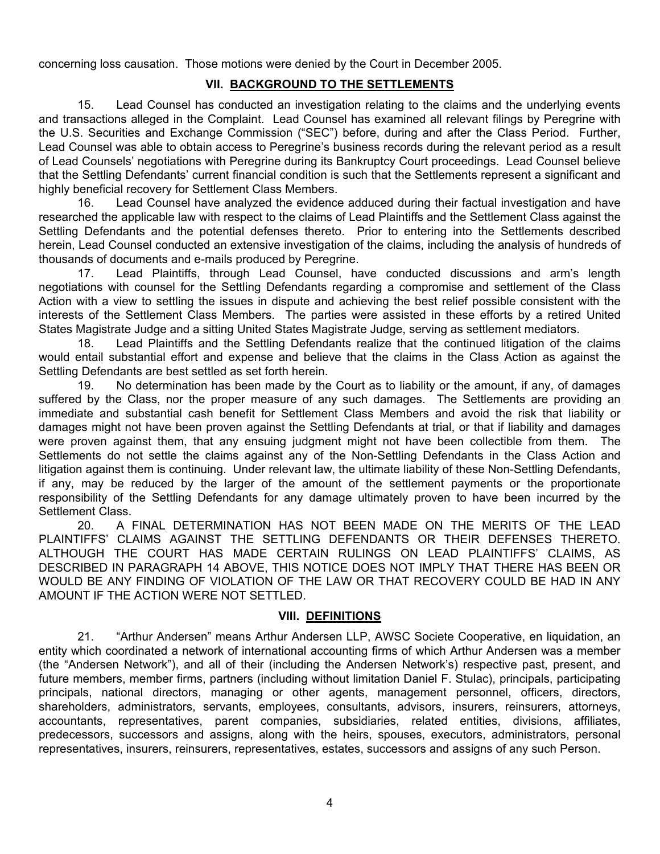concerning loss causation. Those motions were denied by the Court in December 2005.

### **VII. BACKGROUND TO THE SETTLEMENTS**

15. Lead Counsel has conducted an investigation relating to the claims and the underlying events and transactions alleged in the Complaint. Lead Counsel has examined all relevant filings by Peregrine with the U.S. Securities and Exchange Commission ("SEC") before, during and after the Class Period. Further, Lead Counsel was able to obtain access to Peregrine's business records during the relevant period as a result of Lead Counsels' negotiations with Peregrine during its Bankruptcy Court proceedings. Lead Counsel believe that the Settling Defendants' current financial condition is such that the Settlements represent a significant and highly beneficial recovery for Settlement Class Members.

16. Lead Counsel have analyzed the evidence adduced during their factual investigation and have researched the applicable law with respect to the claims of Lead Plaintiffs and the Settlement Class against the Settling Defendants and the potential defenses thereto. Prior to entering into the Settlements described herein, Lead Counsel conducted an extensive investigation of the claims, including the analysis of hundreds of thousands of documents and e-mails produced by Peregrine.

17. Lead Plaintiffs, through Lead Counsel, have conducted discussions and arm's length negotiations with counsel for the Settling Defendants regarding a compromise and settlement of the Class Action with a view to settling the issues in dispute and achieving the best relief possible consistent with the interests of the Settlement Class Members. The parties were assisted in these efforts by a retired United States Magistrate Judge and a sitting United States Magistrate Judge, serving as settlement mediators.

18. Lead Plaintiffs and the Settling Defendants realize that the continued litigation of the claims would entail substantial effort and expense and believe that the claims in the Class Action as against the Settling Defendants are best settled as set forth herein.

19. No determination has been made by the Court as to liability or the amount, if any, of damages suffered by the Class, nor the proper measure of any such damages. The Settlements are providing an immediate and substantial cash benefit for Settlement Class Members and avoid the risk that liability or damages might not have been proven against the Settling Defendants at trial, or that if liability and damages were proven against them, that any ensuing judgment might not have been collectible from them. The Settlements do not settle the claims against any of the Non-Settling Defendants in the Class Action and litigation against them is continuing. Under relevant law, the ultimate liability of these Non-Settling Defendants, if any, may be reduced by the larger of the amount of the settlement payments or the proportionate responsibility of the Settling Defendants for any damage ultimately proven to have been incurred by the Settlement Class.

20. A FINAL DETERMINATION HAS NOT BEEN MADE ON THE MERITS OF THE LEAD PLAINTIFFS' CLAIMS AGAINST THE SETTLING DEFENDANTS OR THEIR DEFENSES THERETO. ALTHOUGH THE COURT HAS MADE CERTAIN RULINGS ON LEAD PLAINTIFFS' CLAIMS, AS DESCRIBED IN PARAGRAPH 14 ABOVE, THIS NOTICE DOES NOT IMPLY THAT THERE HAS BEEN OR WOULD BE ANY FINDING OF VIOLATION OF THE LAW OR THAT RECOVERY COULD BE HAD IN ANY AMOUNT IF THE ACTION WERE NOT SETTLED.

### **VIII. DEFINITIONS**

21. "Arthur Andersen" means Arthur Andersen LLP, AWSC Societe Cooperative, en liquidation, an entity which coordinated a network of international accounting firms of which Arthur Andersen was a member (the "Andersen Network"), and all of their (including the Andersen Network's) respective past, present, and future members, member firms, partners (including without limitation Daniel F. Stulac), principals, participating principals, national directors, managing or other agents, management personnel, officers, directors, shareholders, administrators, servants, employees, consultants, advisors, insurers, reinsurers, attorneys, accountants, representatives, parent companies, subsidiaries, related entities, divisions, affiliates, predecessors, successors and assigns, along with the heirs, spouses, executors, administrators, personal representatives, insurers, reinsurers, representatives, estates, successors and assigns of any such Person.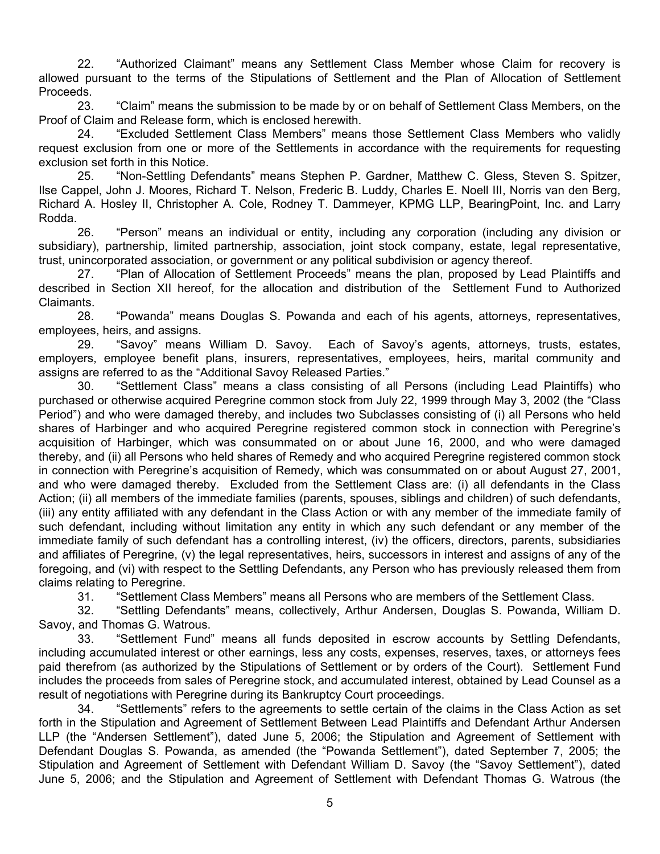22. "Authorized Claimant" means any Settlement Class Member whose Claim for recovery is allowed pursuant to the terms of the Stipulations of Settlement and the Plan of Allocation of Settlement Proceeds.

23. "Claim" means the submission to be made by or on behalf of Settlement Class Members, on the Proof of Claim and Release form, which is enclosed herewith.

24. "Excluded Settlement Class Members" means those Settlement Class Members who validly request exclusion from one or more of the Settlements in accordance with the requirements for requesting exclusion set forth in this Notice.

25. "Non-Settling Defendants" means Stephen P. Gardner, Matthew C. Gless, Steven S. Spitzer, Ilse Cappel, John J. Moores, Richard T. Nelson, Frederic B. Luddy, Charles E. Noell III, Norris van den Berg, Richard A. Hosley II, Christopher A. Cole, Rodney T. Dammeyer, KPMG LLP, BearingPoint, Inc. and Larry Rodda.

26. "Person" means an individual or entity, including any corporation (including any division or subsidiary), partnership, limited partnership, association, joint stock company, estate, legal representative, trust, unincorporated association, or government or any political subdivision or agency thereof.

27. "Plan of Allocation of Settlement Proceeds" means the plan, proposed by Lead Plaintiffs and described in Section XII hereof, for the allocation and distribution of the Settlement Fund to Authorized Claimants.

28. "Powanda" means Douglas S. Powanda and each of his agents, attorneys, representatives, employees, heirs, and assigns.

29. "Savoy" means William D. Savoy. Each of Savoy's agents, attorneys, trusts, estates, employers, employee benefit plans, insurers, representatives, employees, heirs, marital community and assigns are referred to as the "Additional Savoy Released Parties."

30. "Settlement Class" means a class consisting of all Persons (including Lead Plaintiffs) who purchased or otherwise acquired Peregrine common stock from July 22, 1999 through May 3, 2002 (the "Class Period") and who were damaged thereby, and includes two Subclasses consisting of (i) all Persons who held shares of Harbinger and who acquired Peregrine registered common stock in connection with Peregrine's acquisition of Harbinger, which was consummated on or about June 16, 2000, and who were damaged thereby, and (ii) all Persons who held shares of Remedy and who acquired Peregrine registered common stock in connection with Peregrine's acquisition of Remedy, which was consummated on or about August 27, 2001, and who were damaged thereby. Excluded from the Settlement Class are: (i) all defendants in the Class Action; (ii) all members of the immediate families (parents, spouses, siblings and children) of such defendants, (iii) any entity affiliated with any defendant in the Class Action or with any member of the immediate family of such defendant, including without limitation any entity in which any such defendant or any member of the immediate family of such defendant has a controlling interest, (iv) the officers, directors, parents, subsidiaries and affiliates of Peregrine, (v) the legal representatives, heirs, successors in interest and assigns of any of the foregoing, and (vi) with respect to the Settling Defendants, any Person who has previously released them from claims relating to Peregrine.

31. "Settlement Class Members" means all Persons who are members of the Settlement Class.

32. "Settling Defendants" means, collectively, Arthur Andersen, Douglas S. Powanda, William D. Savoy, and Thomas G. Watrous.

33. "Settlement Fund" means all funds deposited in escrow accounts by Settling Defendants, including accumulated interest or other earnings, less any costs, expenses, reserves, taxes, or attorneys fees paid therefrom (as authorized by the Stipulations of Settlement or by orders of the Court). Settlement Fund includes the proceeds from sales of Peregrine stock, and accumulated interest, obtained by Lead Counsel as a result of negotiations with Peregrine during its Bankruptcy Court proceedings.

34. "Settlements" refers to the agreements to settle certain of the claims in the Class Action as set forth in the Stipulation and Agreement of Settlement Between Lead Plaintiffs and Defendant Arthur Andersen LLP (the "Andersen Settlement"), dated June 5, 2006; the Stipulation and Agreement of Settlement with Defendant Douglas S. Powanda, as amended (the "Powanda Settlement"), dated September 7, 2005; the Stipulation and Agreement of Settlement with Defendant William D. Savoy (the "Savoy Settlement"), dated June 5, 2006; and the Stipulation and Agreement of Settlement with Defendant Thomas G. Watrous (the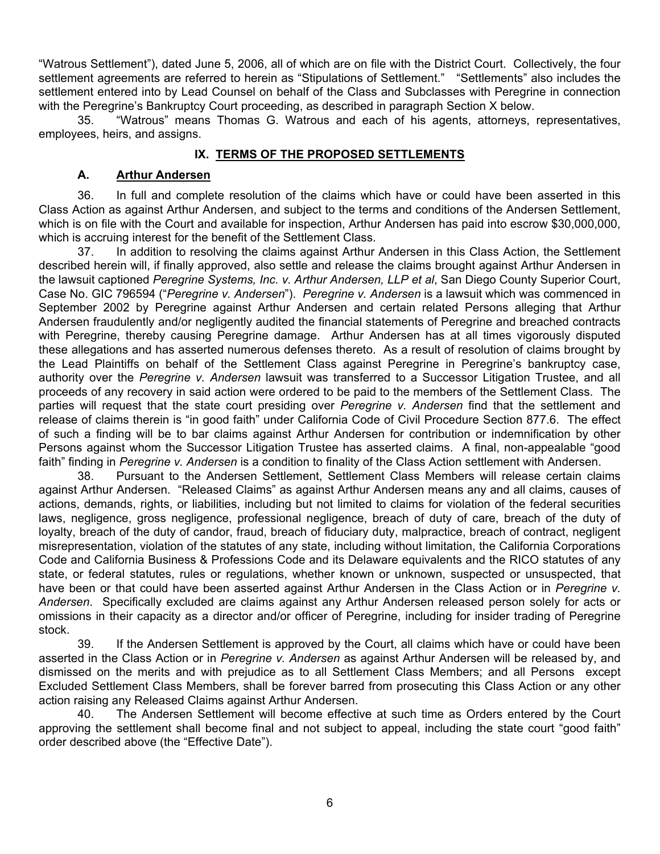"Watrous Settlement"), dated June 5, 2006, all of which are on file with the District Court. Collectively, the four settlement agreements are referred to herein as "Stipulations of Settlement." "Settlements" also includes the settlement entered into by Lead Counsel on behalf of the Class and Subclasses with Peregrine in connection with the Peregrine's Bankruptcy Court proceeding, as described in paragraph Section X below.

35. "Watrous" means Thomas G. Watrous and each of his agents, attorneys, representatives, employees, heirs, and assigns.

### **IX. TERMS OF THE PROPOSED SETTLEMENTS**

### **A. Arthur Andersen**

36. In full and complete resolution of the claims which have or could have been asserted in this Class Action as against Arthur Andersen, and subject to the terms and conditions of the Andersen Settlement, which is on file with the Court and available for inspection, Arthur Andersen has paid into escrow \$30,000,000, which is accruing interest for the benefit of the Settlement Class.

37. In addition to resolving the claims against Arthur Andersen in this Class Action, the Settlement described herein will, if finally approved, also settle and release the claims brought against Arthur Andersen in the lawsuit captioned *Peregrine Systems, Inc. v. Arthur Andersen, LLP et al*, San Diego County Superior Court, Case No. GIC 796594 ("*Peregrine v. Andersen*"). *Peregrine v. Andersen* is a lawsuit which was commenced in September 2002 by Peregrine against Arthur Andersen and certain related Persons alleging that Arthur Andersen fraudulently and/or negligently audited the financial statements of Peregrine and breached contracts with Peregrine, thereby causing Peregrine damage. Arthur Andersen has at all times vigorously disputed these allegations and has asserted numerous defenses thereto. As a result of resolution of claims brought by the Lead Plaintiffs on behalf of the Settlement Class against Peregrine in Peregrine's bankruptcy case, authority over the *Peregrine v. Andersen* lawsuit was transferred to a Successor Litigation Trustee, and all proceeds of any recovery in said action were ordered to be paid to the members of the Settlement Class. The parties will request that the state court presiding over *Peregrine v. Andersen* find that the settlement and release of claims therein is "in good faith" under California Code of Civil Procedure Section 877.6. The effect of such a finding will be to bar claims against Arthur Andersen for contribution or indemnification by other Persons against whom the Successor Litigation Trustee has asserted claims. A final, non-appealable "good faith" finding in *Peregrine v. Andersen* is a condition to finality of the Class Action settlement with Andersen.

38. Pursuant to the Andersen Settlement, Settlement Class Members will release certain claims against Arthur Andersen. "Released Claims" as against Arthur Andersen means any and all claims, causes of actions, demands, rights, or liabilities, including but not limited to claims for violation of the federal securities laws, negligence, gross negligence, professional negligence, breach of duty of care, breach of the duty of loyalty, breach of the duty of candor, fraud, breach of fiduciary duty, malpractice, breach of contract, negligent misrepresentation, violation of the statutes of any state, including without limitation, the California Corporations Code and California Business & Professions Code and its Delaware equivalents and the RICO statutes of any state, or federal statutes, rules or regulations, whether known or unknown, suspected or unsuspected, that have been or that could have been asserted against Arthur Andersen in the Class Action or in *Peregrine v. Andersen*. Specifically excluded are claims against any Arthur Andersen released person solely for acts or omissions in their capacity as a director and/or officer of Peregrine, including for insider trading of Peregrine stock.

39. If the Andersen Settlement is approved by the Court, all claims which have or could have been asserted in the Class Action or in *Peregrine v. Andersen* as against Arthur Andersen will be released by, and dismissed on the merits and with prejudice as to all Settlement Class Members; and all Persons except Excluded Settlement Class Members, shall be forever barred from prosecuting this Class Action or any other action raising any Released Claims against Arthur Andersen.

40. The Andersen Settlement will become effective at such time as Orders entered by the Court approving the settlement shall become final and not subject to appeal, including the state court "good faith" order described above (the "Effective Date").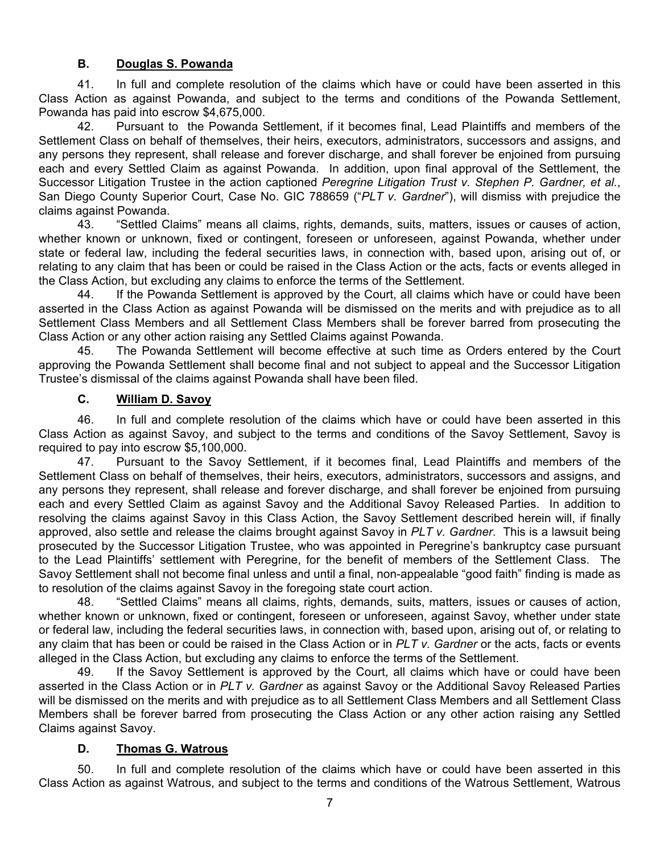### **B. Douglas S. Powanda**

41. In full and complete resolution of the claims which have or could have been asserted in this Class Action as against Powanda, and subject to the terms and conditions of the Powanda Settlement, Powanda has paid into escrow \$4,675,000.

42. Pursuant to the Powanda Settlement, if it becomes final, Lead Plaintiffs and members of the Settlement Class on behalf of themselves, their heirs, executors, administrators, successors and assigns, and any persons they represent, shall release and forever discharge, and shall forever be enjoined from pursuing each and every Settled Claim as against Powanda. In addition, upon final approval of the Settlement, the Successor Litigation Trustee in the action captioned *Peregrine Litigation Trust v. Stephen P. Gardner, et al.*, San Diego County Superior Court, Case No. GIC 788659 ("*PLT v. Gardner*"), will dismiss with prejudice the claims against Powanda.

43. "Settled Claims" means all claims, rights, demands, suits, matters, issues or causes of action, whether known or unknown, fixed or contingent, foreseen or unforeseen, against Powanda, whether under state or federal law, including the federal securities laws, in connection with, based upon, arising out of, or relating to any claim that has been or could be raised in the Class Action or the acts, facts or events alleged in the Class Action, but excluding any claims to enforce the terms of the Settlement.

44. If the Powanda Settlement is approved by the Court, all claims which have or could have been asserted in the Class Action as against Powanda will be dismissed on the merits and with prejudice as to all Settlement Class Members and all Settlement Class Members shall be forever barred from prosecuting the Class Action or any other action raising any Settled Claims against Powanda.

45. The Powanda Settlement will become effective at such time as Orders entered by the Court approving the Powanda Settlement shall become final and not subject to appeal and the Successor Litigation Trustee's dismissal of the claims against Powanda shall have been filed.

### **C. William D. Savoy**

46. In full and complete resolution of the claims which have or could have been asserted in this Class Action as against Savoy, and subject to the terms and conditions of the Savoy Settlement, Savoy is required to pay into escrow \$5,100,000.

47. Pursuant to the Savoy Settlement, if it becomes final, Lead Plaintiffs and members of the Settlement Class on behalf of themselves, their heirs, executors, administrators, successors and assigns, and any persons they represent, shall release and forever discharge, and shall forever be enjoined from pursuing each and every Settled Claim as against Savoy and the Additional Savoy Released Parties. In addition to resolving the claims against Savoy in this Class Action, the Savoy Settlement described herein will, if finally approved, also settle and release the claims brought against Savoy in *PLT v. Gardner*. This is a lawsuit being prosecuted by the Successor Litigation Trustee, who was appointed in Peregrine's bankruptcy case pursuant to the Lead Plaintiffs' settlement with Peregrine, for the benefit of members of the Settlement Class. The Savoy Settlement shall not become final unless and until a final, non-appealable "good faith" finding is made as to resolution of the claims against Savoy in the foregoing state court action.

48. "Settled Claims" means all claims, rights, demands, suits, matters, issues or causes of action, whether known or unknown, fixed or contingent, foreseen or unforeseen, against Savoy, whether under state or federal law, including the federal securities laws, in connection with, based upon, arising out of, or relating to any claim that has been or could be raised in the Class Action or in *PLT v. Gardner* or the acts, facts or events alleged in the Class Action, but excluding any claims to enforce the terms of the Settlement.

49. If the Savoy Settlement is approved by the Court, all claims which have or could have been asserted in the Class Action or in *PLT v. Gardner* as against Savoy or the Additional Savoy Released Parties will be dismissed on the merits and with prejudice as to all Settlement Class Members and all Settlement Class Members shall be forever barred from prosecuting the Class Action or any other action raising any Settled Claims against Savoy.

### **D. Thomas G. Watrous**

50. In full and complete resolution of the claims which have or could have been asserted in this Class Action as against Watrous, and subject to the terms and conditions of the Watrous Settlement, Watrous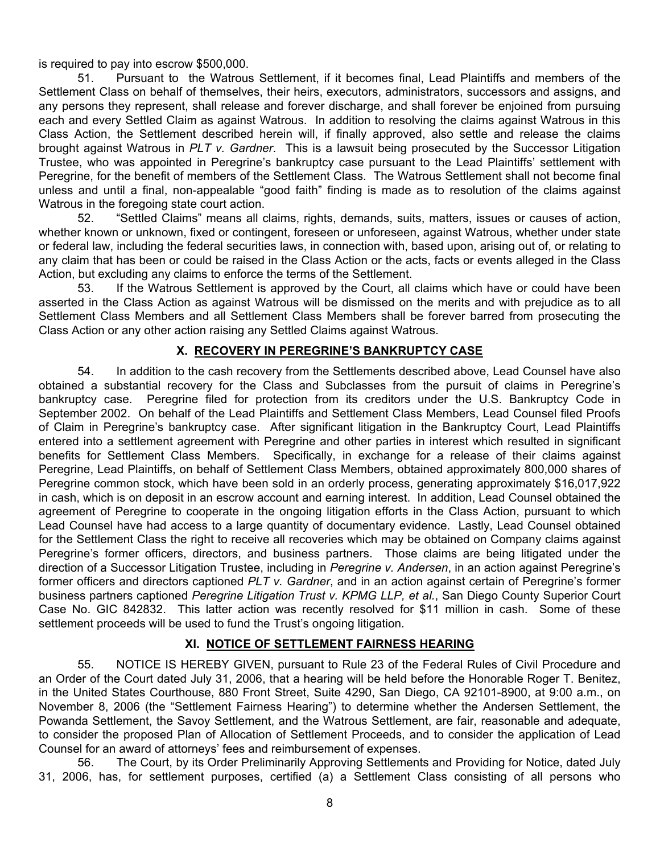is required to pay into escrow \$500,000.

51. Pursuant to the Watrous Settlement, if it becomes final, Lead Plaintiffs and members of the Settlement Class on behalf of themselves, their heirs, executors, administrators, successors and assigns, and any persons they represent, shall release and forever discharge, and shall forever be enjoined from pursuing each and every Settled Claim as against Watrous. In addition to resolving the claims against Watrous in this Class Action, the Settlement described herein will, if finally approved, also settle and release the claims brought against Watrous in *PLT v. Gardner*. This is a lawsuit being prosecuted by the Successor Litigation Trustee, who was appointed in Peregrine's bankruptcy case pursuant to the Lead Plaintiffs' settlement with Peregrine, for the benefit of members of the Settlement Class. The Watrous Settlement shall not become final unless and until a final, non-appealable "good faith" finding is made as to resolution of the claims against Watrous in the foregoing state court action.

52. "Settled Claims" means all claims, rights, demands, suits, matters, issues or causes of action, whether known or unknown, fixed or contingent, foreseen or unforeseen, against Watrous, whether under state or federal law, including the federal securities laws, in connection with, based upon, arising out of, or relating to any claim that has been or could be raised in the Class Action or the acts, facts or events alleged in the Class Action, but excluding any claims to enforce the terms of the Settlement.

53. If the Watrous Settlement is approved by the Court, all claims which have or could have been asserted in the Class Action as against Watrous will be dismissed on the merits and with prejudice as to all Settlement Class Members and all Settlement Class Members shall be forever barred from prosecuting the Class Action or any other action raising any Settled Claims against Watrous.

### **X. RECOVERY IN PEREGRINE'S BANKRUPTCY CASE**

54. In addition to the cash recovery from the Settlements described above, Lead Counsel have also obtained a substantial recovery for the Class and Subclasses from the pursuit of claims in Peregrine's bankruptcy case. Peregrine filed for protection from its creditors under the U.S. Bankruptcy Code in September 2002. On behalf of the Lead Plaintiffs and Settlement Class Members, Lead Counsel filed Proofs of Claim in Peregrine's bankruptcy case. After significant litigation in the Bankruptcy Court, Lead Plaintiffs entered into a settlement agreement with Peregrine and other parties in interest which resulted in significant benefits for Settlement Class Members. Specifically, in exchange for a release of their claims against Peregrine, Lead Plaintiffs, on behalf of Settlement Class Members, obtained approximately 800,000 shares of Peregrine common stock, which have been sold in an orderly process, generating approximately \$16,017,922 in cash, which is on deposit in an escrow account and earning interest. In addition, Lead Counsel obtained the agreement of Peregrine to cooperate in the ongoing litigation efforts in the Class Action, pursuant to which Lead Counsel have had access to a large quantity of documentary evidence. Lastly, Lead Counsel obtained for the Settlement Class the right to receive all recoveries which may be obtained on Company claims against Peregrine's former officers, directors, and business partners. Those claims are being litigated under the direction of a Successor Litigation Trustee, including in *Peregrine v. Andersen*, in an action against Peregrine's former officers and directors captioned *PLT v. Gardner*, and in an action against certain of Peregrine's former business partners captioned *Peregrine Litigation Trust v. KPMG LLP, et al.*, San Diego County Superior Court Case No. GIC 842832. This latter action was recently resolved for \$11 million in cash. Some of these settlement proceeds will be used to fund the Trust's ongoing litigation.

### **XI. NOTICE OF SETTLEMENT FAIRNESS HEARING**

55. NOTICE IS HEREBY GIVEN, pursuant to Rule 23 of the Federal Rules of Civil Procedure and an Order of the Court dated July 31, 2006, that a hearing will be held before the Honorable Roger T. Benitez, in the United States Courthouse, 880 Front Street, Suite 4290, San Diego, CA 92101-8900, at 9:00 a.m., on November 8, 2006 (the "Settlement Fairness Hearing") to determine whether the Andersen Settlement, the Powanda Settlement, the Savoy Settlement, and the Watrous Settlement, are fair, reasonable and adequate, to consider the proposed Plan of Allocation of Settlement Proceeds, and to consider the application of Lead Counsel for an award of attorneys' fees and reimbursement of expenses.

56. The Court, by its Order Preliminarily Approving Settlements and Providing for Notice, dated July 31, 2006, has, for settlement purposes, certified (a) a Settlement Class consisting of all persons who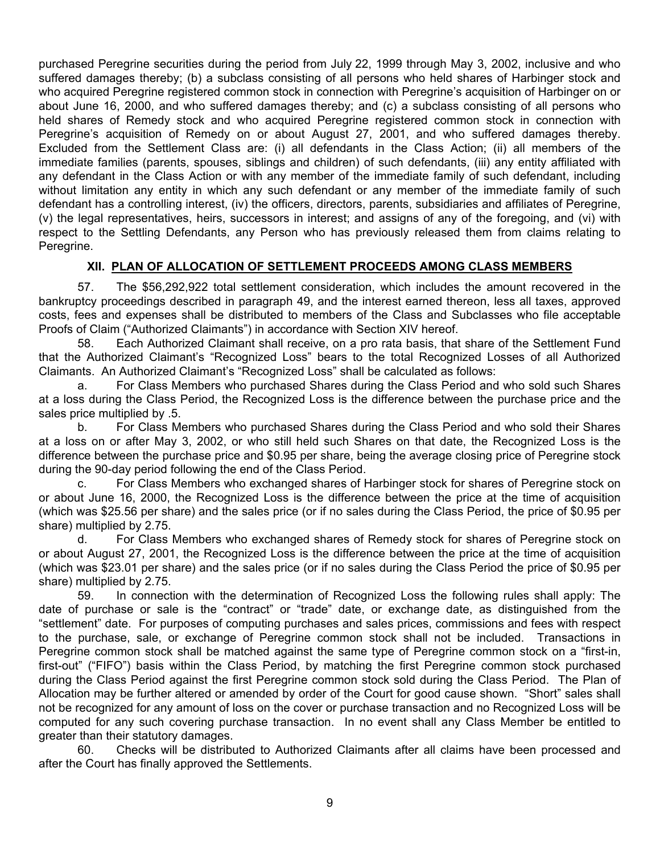purchased Peregrine securities during the period from July 22, 1999 through May 3, 2002, inclusive and who suffered damages thereby; (b) a subclass consisting of all persons who held shares of Harbinger stock and who acquired Peregrine registered common stock in connection with Peregrine's acquisition of Harbinger on or about June 16, 2000, and who suffered damages thereby; and (c) a subclass consisting of all persons who held shares of Remedy stock and who acquired Peregrine registered common stock in connection with Peregrine's acquisition of Remedy on or about August 27, 2001, and who suffered damages thereby. Excluded from the Settlement Class are: (i) all defendants in the Class Action; (ii) all members of the immediate families (parents, spouses, siblings and children) of such defendants, (iii) any entity affiliated with any defendant in the Class Action or with any member of the immediate family of such defendant, including without limitation any entity in which any such defendant or any member of the immediate family of such defendant has a controlling interest, (iv) the officers, directors, parents, subsidiaries and affiliates of Peregrine, (v) the legal representatives, heirs, successors in interest; and assigns of any of the foregoing, and (vi) with respect to the Settling Defendants, any Person who has previously released them from claims relating to Peregrine.

# **XII. PLAN OF ALLOCATION OF SETTLEMENT PROCEEDS AMONG CLASS MEMBERS**

57. The \$56,292,922 total settlement consideration, which includes the amount recovered in the bankruptcy proceedings described in paragraph 49, and the interest earned thereon, less all taxes, approved costs, fees and expenses shall be distributed to members of the Class and Subclasses who file acceptable Proofs of Claim ("Authorized Claimants") in accordance with Section XIV hereof.

58. Each Authorized Claimant shall receive, on a pro rata basis, that share of the Settlement Fund that the Authorized Claimant's "Recognized Loss" bears to the total Recognized Losses of all Authorized Claimants. An Authorized Claimant's "Recognized Loss" shall be calculated as follows:

a. For Class Members who purchased Shares during the Class Period and who sold such Shares at a loss during the Class Period, the Recognized Loss is the difference between the purchase price and the sales price multiplied by .5.

b. For Class Members who purchased Shares during the Class Period and who sold their Shares at a loss on or after May 3, 2002, or who still held such Shares on that date, the Recognized Loss is the difference between the purchase price and \$0.95 per share, being the average closing price of Peregrine stock during the 90-day period following the end of the Class Period.

c. For Class Members who exchanged shares of Harbinger stock for shares of Peregrine stock on or about June 16, 2000, the Recognized Loss is the difference between the price at the time of acquisition (which was \$25.56 per share) and the sales price (or if no sales during the Class Period, the price of \$0.95 per share) multiplied by 2.75.

d. For Class Members who exchanged shares of Remedy stock for shares of Peregrine stock on or about August 27, 2001, the Recognized Loss is the difference between the price at the time of acquisition (which was \$23.01 per share) and the sales price (or if no sales during the Class Period the price of \$0.95 per share) multiplied by 2.75.

59. In connection with the determination of Recognized Loss the following rules shall apply: The date of purchase or sale is the "contract" or "trade" date, or exchange date, as distinguished from the "settlement" date. For purposes of computing purchases and sales prices, commissions and fees with respect to the purchase, sale, or exchange of Peregrine common stock shall not be included. Transactions in Peregrine common stock shall be matched against the same type of Peregrine common stock on a "first-in, first-out" ("FIFO") basis within the Class Period, by matching the first Peregrine common stock purchased during the Class Period against the first Peregrine common stock sold during the Class Period. The Plan of Allocation may be further altered or amended by order of the Court for good cause shown. "Short" sales shall not be recognized for any amount of loss on the cover or purchase transaction and no Recognized Loss will be computed for any such covering purchase transaction. In no event shall any Class Member be entitled to greater than their statutory damages.

60. Checks will be distributed to Authorized Claimants after all claims have been processed and after the Court has finally approved the Settlements.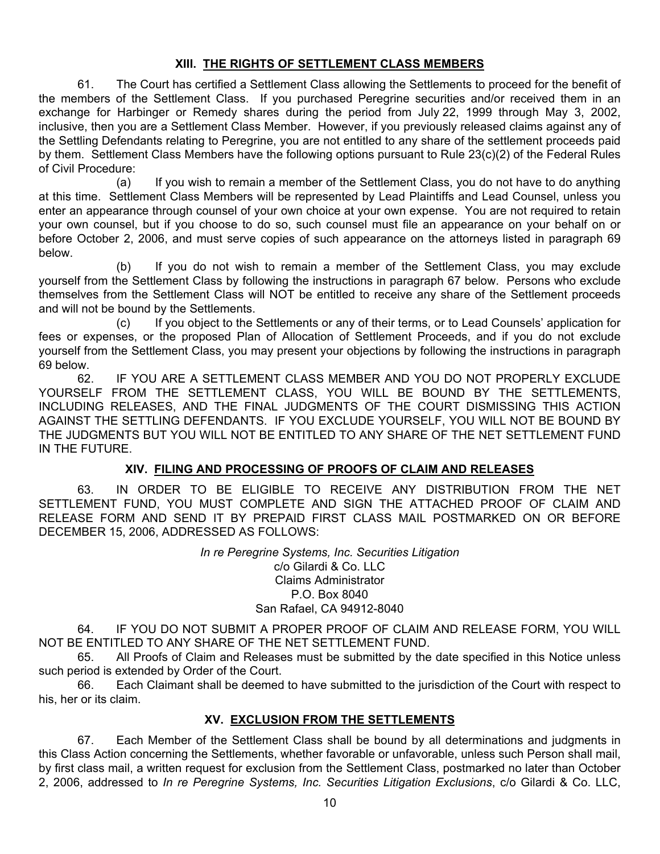### **XIII. THE RIGHTS OF SETTLEMENT CLASS MEMBERS**

61. The Court has certified a Settlement Class allowing the Settlements to proceed for the benefit of the members of the Settlement Class. If you purchased Peregrine securities and/or received them in an exchange for Harbinger or Remedy shares during the period from July 22, 1999 through May 3, 2002, inclusive, then you are a Settlement Class Member. However, if you previously released claims against any of the Settling Defendants relating to Peregrine, you are not entitled to any share of the settlement proceeds paid by them. Settlement Class Members have the following options pursuant to Rule 23(c)(2) of the Federal Rules of Civil Procedure:

 (a) If you wish to remain a member of the Settlement Class, you do not have to do anything at this time. Settlement Class Members will be represented by Lead Plaintiffs and Lead Counsel, unless you enter an appearance through counsel of your own choice at your own expense. You are not required to retain your own counsel, but if you choose to do so, such counsel must file an appearance on your behalf on or before October 2, 2006, and must serve copies of such appearance on the attorneys listed in paragraph 69 below.

 (b) If you do not wish to remain a member of the Settlement Class, you may exclude yourself from the Settlement Class by following the instructions in paragraph 67 below. Persons who exclude themselves from the Settlement Class will NOT be entitled to receive any share of the Settlement proceeds and will not be bound by the Settlements.

 (c) If you object to the Settlements or any of their terms, or to Lead Counsels' application for fees or expenses, or the proposed Plan of Allocation of Settlement Proceeds, and if you do not exclude yourself from the Settlement Class, you may present your objections by following the instructions in paragraph 69 below.

62. IF YOU ARE A SETTLEMENT CLASS MEMBER AND YOU DO NOT PROPERLY EXCLUDE YOURSELF FROM THE SETTLEMENT CLASS, YOU WILL BE BOUND BY THE SETTLEMENTS, INCLUDING RELEASES, AND THE FINAL JUDGMENTS OF THE COURT DISMISSING THIS ACTION AGAINST THE SETTLING DEFENDANTS. IF YOU EXCLUDE YOURSELF, YOU WILL NOT BE BOUND BY THE JUDGMENTS BUT YOU WILL NOT BE ENTITLED TO ANY SHARE OF THE NET SETTLEMENT FUND IN THE FUTURE.

# **XIV. FILING AND PROCESSING OF PROOFS OF CLAIM AND RELEASES**

63. IN ORDER TO BE ELIGIBLE TO RECEIVE ANY DISTRIBUTION FROM THE NET SETTLEMENT FUND, YOU MUST COMPLETE AND SIGN THE ATTACHED PROOF OF CLAIM AND RELEASE FORM AND SEND IT BY PREPAID FIRST CLASS MAIL POSTMARKED ON OR BEFORE DECEMBER 15, 2006, ADDRESSED AS FOLLOWS:

> *In re Peregrine Systems, Inc. Securities Litigation* c/o Gilardi & Co. LLC Claims Administrator P.O. Box 8040 San Rafael, CA 94912-8040

64. IF YOU DO NOT SUBMIT A PROPER PROOF OF CLAIM AND RELEASE FORM, YOU WILL NOT BE ENTITLED TO ANY SHARE OF THE NET SETTLEMENT FUND.

65. All Proofs of Claim and Releases must be submitted by the date specified in this Notice unless such period is extended by Order of the Court.

66. Each Claimant shall be deemed to have submitted to the jurisdiction of the Court with respect to his, her or its claim.

### **XV. EXCLUSION FROM THE SETTLEMENTS**

67. Each Member of the Settlement Class shall be bound by all determinations and judgments in this Class Action concerning the Settlements, whether favorable or unfavorable, unless such Person shall mail, by first class mail, a written request for exclusion from the Settlement Class, postmarked no later than October 2, 2006, addressed to *In re Peregrine Systems, Inc. Securities Litigation Exclusions*, c/o Gilardi & Co. LLC,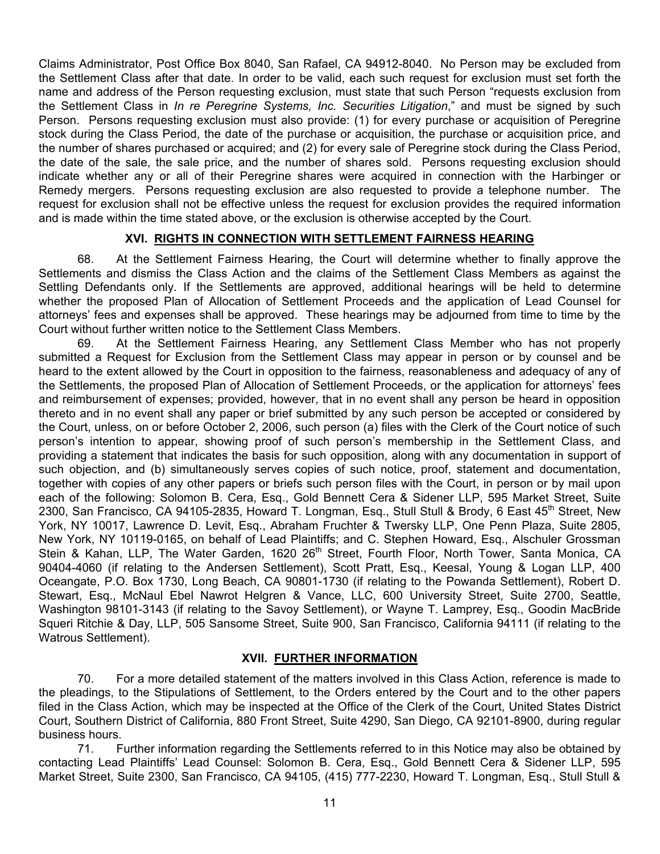Claims Administrator, Post Office Box 8040, San Rafael, CA 94912-8040. No Person may be excluded from the Settlement Class after that date. In order to be valid, each such request for exclusion must set forth the name and address of the Person requesting exclusion, must state that such Person "requests exclusion from the Settlement Class in *In re Peregrine Systems, Inc. Securities Litigation*," and must be signed by such Person. Persons requesting exclusion must also provide: (1) for every purchase or acquisition of Peregrine stock during the Class Period, the date of the purchase or acquisition, the purchase or acquisition price, and the number of shares purchased or acquired; and (2) for every sale of Peregrine stock during the Class Period, the date of the sale, the sale price, and the number of shares sold. Persons requesting exclusion should indicate whether any or all of their Peregrine shares were acquired in connection with the Harbinger or Remedy mergers. Persons requesting exclusion are also requested to provide a telephone number. The request for exclusion shall not be effective unless the request for exclusion provides the required information and is made within the time stated above, or the exclusion is otherwise accepted by the Court.

#### **XVI. RIGHTS IN CONNECTION WITH SETTLEMENT FAIRNESS HEARING**

68. At the Settlement Fairness Hearing, the Court will determine whether to finally approve the Settlements and dismiss the Class Action and the claims of the Settlement Class Members as against the Settling Defendants only. If the Settlements are approved, additional hearings will be held to determine whether the proposed Plan of Allocation of Settlement Proceeds and the application of Lead Counsel for attorneys' fees and expenses shall be approved. These hearings may be adjourned from time to time by the Court without further written notice to the Settlement Class Members.

69. At the Settlement Fairness Hearing, any Settlement Class Member who has not properly submitted a Request for Exclusion from the Settlement Class may appear in person or by counsel and be heard to the extent allowed by the Court in opposition to the fairness, reasonableness and adequacy of any of the Settlements, the proposed Plan of Allocation of Settlement Proceeds, or the application for attorneys' fees and reimbursement of expenses; provided, however, that in no event shall any person be heard in opposition thereto and in no event shall any paper or brief submitted by any such person be accepted or considered by the Court, unless, on or before October 2, 2006, such person (a) files with the Clerk of the Court notice of such person's intention to appear, showing proof of such person's membership in the Settlement Class, and providing a statement that indicates the basis for such opposition, along with any documentation in support of such objection, and (b) simultaneously serves copies of such notice, proof, statement and documentation, together with copies of any other papers or briefs such person files with the Court, in person or by mail upon each of the following: Solomon B. Cera, Esq., Gold Bennett Cera & Sidener LLP, 595 Market Street, Suite 2300, San Francisco, CA 94105-2835, Howard T. Longman, Esg., Stull Stull & Brody, 6 East 45<sup>th</sup> Street, New York, NY 10017, Lawrence D. Levit, Esq., Abraham Fruchter & Twersky LLP, One Penn Plaza, Suite 2805, New York, NY 10119-0165, on behalf of Lead Plaintiffs; and C. Stephen Howard, Esq., Alschuler Grossman Stein & Kahan, LLP, The Water Garden, 1620 26<sup>th</sup> Street, Fourth Floor, North Tower, Santa Monica, CA 90404-4060 (if relating to the Andersen Settlement), Scott Pratt, Esq., Keesal, Young & Logan LLP, 400 Oceangate, P.O. Box 1730, Long Beach, CA 90801-1730 (if relating to the Powanda Settlement), Robert D. Stewart, Esq., McNaul Ebel Nawrot Helgren & Vance, LLC, 600 University Street, Suite 2700, Seattle, Washington 98101-3143 (if relating to the Savoy Settlement), or Wayne T. Lamprey, Esq., Goodin MacBride Squeri Ritchie & Day, LLP, 505 Sansome Street, Suite 900, San Francisco, California 94111 (if relating to the Watrous Settlement).

### **XVII. FURTHER INFORMATION**

70. For a more detailed statement of the matters involved in this Class Action, reference is made to the pleadings, to the Stipulations of Settlement, to the Orders entered by the Court and to the other papers filed in the Class Action, which may be inspected at the Office of the Clerk of the Court, United States District Court, Southern District of California, 880 Front Street, Suite 4290, San Diego, CA 92101-8900, during regular business hours.

71. Further information regarding the Settlements referred to in this Notice may also be obtained by contacting Lead Plaintiffs' Lead Counsel: Solomon B. Cera, Esq., Gold Bennett Cera & Sidener LLP, 595 Market Street, Suite 2300, San Francisco, CA 94105, (415) 777-2230, Howard T. Longman, Esq., Stull Stull &